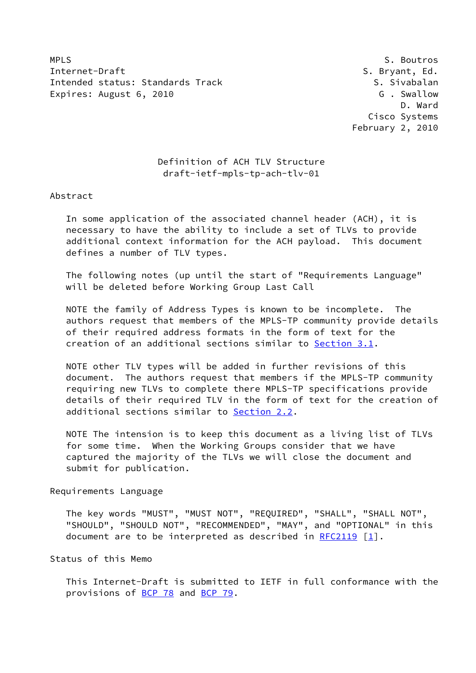MPLS S. Boutros Internet-Draft S. Bryant, Ed. Intended status: Standards Track S. Sivabalan Expires: August 6, 2010 G . Swallow

 D. Ward Cisco Systems February 2, 2010

## Definition of ACH TLV Structure draft-ietf-mpls-tp-ach-tlv-01

Abstract

 In some application of the associated channel header (ACH), it is necessary to have the ability to include a set of TLVs to provide additional context information for the ACH payload. This document defines a number of TLV types.

 The following notes (up until the start of "Requirements Language" will be deleted before Working Group Last Call

 NOTE the family of Address Types is known to be incomplete. The authors request that members of the MPLS-TP community provide details of their required address formats in the form of text for the creation of an additional sections similar to [Section 3.1](#page-7-0).

 NOTE other TLV types will be added in further revisions of this document. The authors request that members if the MPLS-TP community requiring new TLVs to complete there MPLS-TP specifications provide details of their required TLV in the form of text for the creation of additional sections similar to [Section 2.2](#page-4-0).

 NOTE The intension is to keep this document as a living list of TLVs for some time. When the Working Groups consider that we have captured the majority of the TLVs we will close the document and submit for publication.

Requirements Language

 The key words "MUST", "MUST NOT", "REQUIRED", "SHALL", "SHALL NOT", "SHOULD", "SHOULD NOT", "RECOMMENDED", "MAY", and "OPTIONAL" in this document are to be interpreted as described in [RFC2119](https://datatracker.ietf.org/doc/pdf/rfc2119)  $\lceil 1 \rceil$ .

Status of this Memo

 This Internet-Draft is submitted to IETF in full conformance with the provisions of [BCP 78](https://datatracker.ietf.org/doc/pdf/bcp78) and [BCP 79](https://datatracker.ietf.org/doc/pdf/bcp79).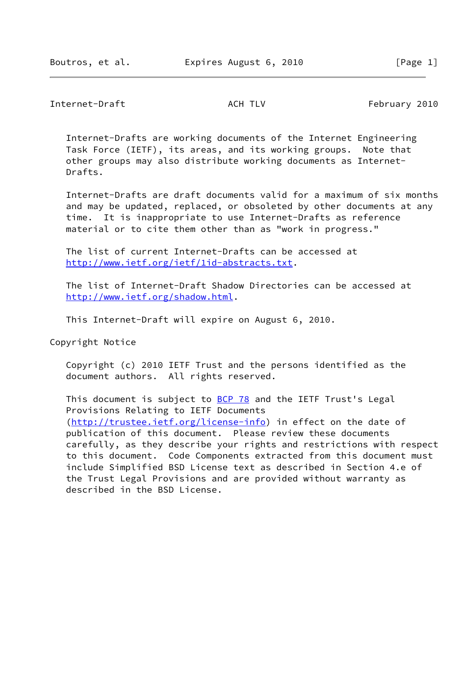Internet-Draft **ACH TLV** ACH TLV February 2010

 Internet-Drafts are working documents of the Internet Engineering Task Force (IETF), its areas, and its working groups. Note that other groups may also distribute working documents as Internet- Drafts.

 Internet-Drafts are draft documents valid for a maximum of six months and may be updated, replaced, or obsoleted by other documents at any time. It is inappropriate to use Internet-Drafts as reference material or to cite them other than as "work in progress."

 The list of current Internet-Drafts can be accessed at <http://www.ietf.org/ietf/1id-abstracts.txt>.

 The list of Internet-Draft Shadow Directories can be accessed at <http://www.ietf.org/shadow.html>.

This Internet-Draft will expire on August 6, 2010.

Copyright Notice

 Copyright (c) 2010 IETF Trust and the persons identified as the document authors. All rights reserved.

This document is subject to **[BCP 78](https://datatracker.ietf.org/doc/pdf/bcp78)** and the IETF Trust's Legal Provisions Relating to IETF Documents [\(http://trustee.ietf.org/license-info](http://trustee.ietf.org/license-info)) in effect on the date of publication of this document. Please review these documents carefully, as they describe your rights and restrictions with respect to this document. Code Components extracted from this document must include Simplified BSD License text as described in Section 4.e of the Trust Legal Provisions and are provided without warranty as described in the BSD License.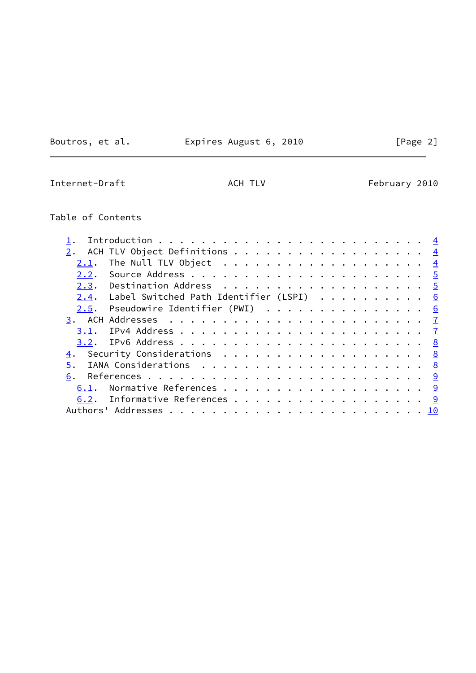Boutros, et al. Expires August 6, 2010 [Page 2]

Internet-Draft **ACH TLV** ACH TLV February 2010

# Table of Contents

| ACH TLV Object Definitions <u>4</u>                                            |  |  |  |  |  |  |  |
|--------------------------------------------------------------------------------|--|--|--|--|--|--|--|
| The Null TLV Object $\ldots \ldots \ldots \ldots \ldots \ldots \ldots$<br>2.1. |  |  |  |  |  |  |  |
|                                                                                |  |  |  |  |  |  |  |
|                                                                                |  |  |  |  |  |  |  |
| $2.4$ . Label Switched Path Identifier (LSPI) 6                                |  |  |  |  |  |  |  |
| $2.5$ . Pseudowire Identifier (PWI) 6                                          |  |  |  |  |  |  |  |
|                                                                                |  |  |  |  |  |  |  |
|                                                                                |  |  |  |  |  |  |  |
|                                                                                |  |  |  |  |  |  |  |
| 4. Security Considerations 8                                                   |  |  |  |  |  |  |  |
| 5.                                                                             |  |  |  |  |  |  |  |
| 6.                                                                             |  |  |  |  |  |  |  |
| Normative References 9<br>6.1.                                                 |  |  |  |  |  |  |  |
| 6.2. Informative References 9                                                  |  |  |  |  |  |  |  |
|                                                                                |  |  |  |  |  |  |  |
|                                                                                |  |  |  |  |  |  |  |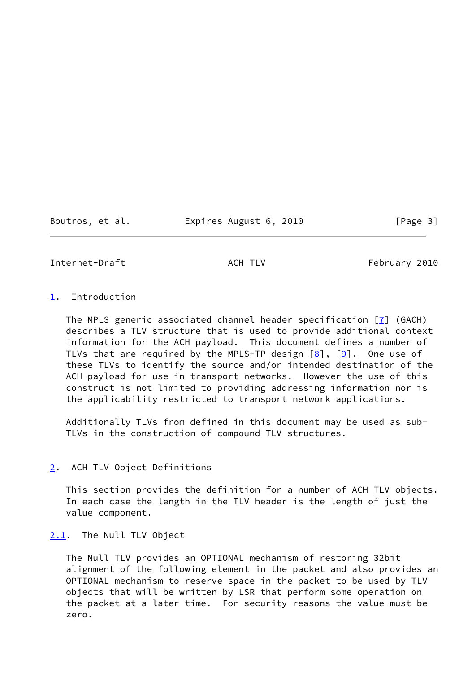Boutros, et al. Expires August 6, 2010 [Page 3]

<span id="page-3-1"></span>Internet-Draft **ACH TLV** ACH TLV February 2010

## <span id="page-3-0"></span>[1](#page-3-0). Introduction

The MPLS generic associated channel header specification  $\boxed{7}$  (GACH) describes a TLV structure that is used to provide additional context information for the ACH payload. This document defines a number of TLVs that are required by the MPLS-TP design  $[8]$ ,  $[9]$  $[9]$ . One use of these TLVs to identify the source and/or intended destination of the ACH payload for use in transport networks. However the use of this construct is not limited to providing addressing information nor is the applicability restricted to transport network applications.

 Additionally TLVs from defined in this document may be used as sub- TLVs in the construction of compound TLV structures.

## <span id="page-3-2"></span>[2](#page-3-2). ACH TLV Object Definitions

 This section provides the definition for a number of ACH TLV objects. In each case the length in the TLV header is the length of just the value component.

## <span id="page-3-3"></span>[2.1](#page-3-3). The Null TLV Object

 The Null TLV provides an OPTIONAL mechanism of restoring 32bit alignment of the following element in the packet and also provides an OPTIONAL mechanism to reserve space in the packet to be used by TLV objects that will be written by LSR that perform some operation on the packet at a later time. For security reasons the value must be zero.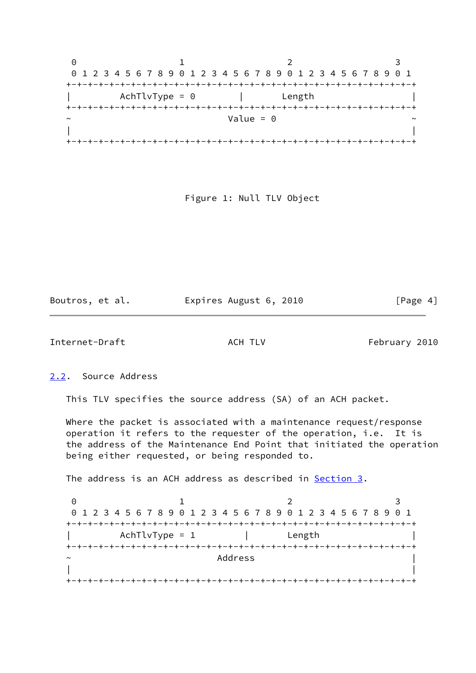|                       | 0 1 2 3 4 5 6 7 8 9 0 1 2 3 4 5 6 7 8 9 0 1 2 3 4 5 6 7 8 9 0 1 |                                   |  |
|-----------------------|-----------------------------------------------------------------|-----------------------------------|--|
|                       |                                                                 |                                   |  |
|                       | AchTlvType = 0                                                  | Length                            |  |
|                       |                                                                 |                                   |  |
| $\tilde{\phantom{a}}$ |                                                                 | Value = $\theta$                  |  |
|                       |                                                                 |                                   |  |
|                       |                                                                 | -+-+-+-+-+-+-+-+-+-+-+-+-+-+-+-+- |  |

Figure 1: Null TLV Object

Boutros, et al. Expires August 6, 2010 [Page 4]

<span id="page-4-1"></span>Internet-Draft **ACH TLV** ACH TLV February 2010

<span id="page-4-0"></span>[2.2](#page-4-0). Source Address

This TLV specifies the source address (SA) of an ACH packet.

 Where the packet is associated with a maintenance request/response operation it refers to the requester of the operation, i.e. It is the address of the Maintenance End Point that initiated the operation being either requested, or being responded to.

The address is an ACH address as described in **Section 3.** 

0 1 2 3 0 1 2 3 4 5 6 7 8 9 0 1 2 3 4 5 6 7 8 9 0 1 2 3 4 5 6 7 8 9 0 1 +-+-+-+-+-+-+-+-+-+-+-+-+-+-+-+-+-+-+-+-+-+-+-+-+-+-+-+-+-+-+-+-+ | AchTlvType = 1 | Length | +-+-+-+-+-+-+-+-+-+-+-+-+-+-+-+-+-+-+-+-+-+-+-+-+-+-+-+-+-+-+-+-+ ~ Address | | | +-+-+-+-+-+-+-+-+-+-+-+-+-+-+-+-+-+-+-+-+-+-+-+-+-+-+-+-+-+-+-+-+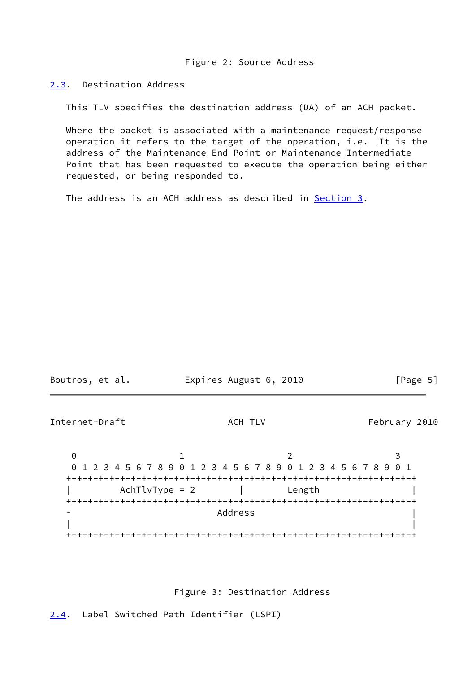Figure 2: Source Address

<span id="page-5-0"></span>[2.3](#page-5-0). Destination Address

This TLV specifies the destination address (DA) of an ACH packet.

 Where the packet is associated with a maintenance request/response operation it refers to the target of the operation, i.e. It is the address of the Maintenance End Point or Maintenance Intermediate Point that has been requested to execute the operation being either requested, or being responded to.

The address is an ACH address as described in [Section 3.](#page-7-1)

<span id="page-5-2"></span>

Figure 3: Destination Address

<span id="page-5-1"></span>[2.4](#page-5-1). Label Switched Path Identifier (LSPI)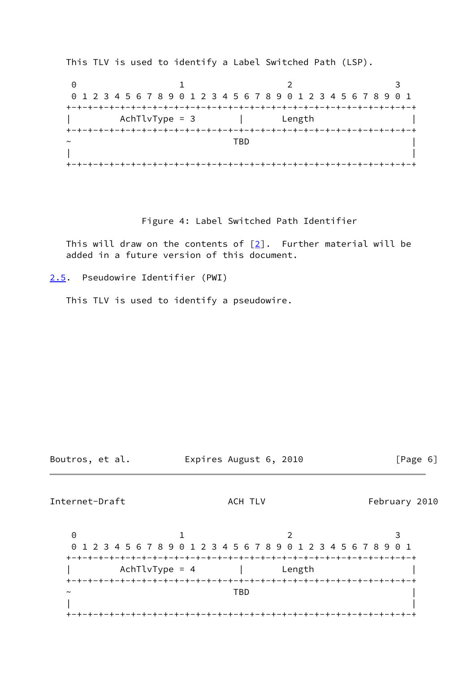This TLV is used to identify a Label Switched Path (LSP).

0 1 2 3 0 1 2 3 4 5 6 7 8 9 0 1 2 3 4 5 6 7 8 9 0 1 2 3 4 5 6 7 8 9 0 1 +-+-+-+-+-+-+-+-+-+-+-+-+-+-+-+-+-+-+-+-+-+-+-+-+-+-+-+-+-+-+-+-+ AchTlvType = 3 | Length +-+-+-+-+-+-+-+-+-+-+-+-+-+-+-+-+-+-+-+-+-+-+-+-+-+-+-+-+-+-+-+-+  $\sim$  TBD  $\sim$  T  $\sim$  T  $\sim$  T  $\sim$  T  $\sim$  T  $\sim$  T  $\sim$  T  $\sim$  T  $\sim$  T  $\sim$  T  $\sim$  T  $\sim$  T  $\sim$  T  $\sim$  T  $\sim$  T  $\sim$  T  $\sim$  T  $\sim$  T  $\sim$  T  $\sim$  T  $\sim$  T  $\sim$  T  $\sim$  T  $\sim$  T  $\sim$  T  $\sim$  T  $\sim$  T  $\sim$  T  $\sim$  T  $\sim$  T  $\$  | | +-+-+-+-+-+-+-+-+-+-+-+-+-+-+-+-+-+-+-+-+-+-+-+-+-+-+-+-+-+-+-+-+

### Figure 4: Label Switched Path Identifier

This will draw on the contents of  $[2]$  $[2]$ . Further material will be added in a future version of this document.

<span id="page-6-0"></span>[2.5](#page-6-0). Pseudowire Identifier (PWI)

This TLV is used to identify a pseudowire.

Boutros, et al. Expires August 6, 2010 [Page 6]

<span id="page-6-1"></span>Internet-Draft **ACH TLV** ACH TLV February 2010

0 1 2 3 0 1 2 3 4 5 6 7 8 9 0 1 2 3 4 5 6 7 8 9 0 1 2 3 4 5 6 7 8 9 0 1 +-+-+-+-+-+-+-+-+-+-+-+-+-+-+-+-+-+-+-+-+-+-+-+-+-+-+-+-+-+-+-+-+ AchTlvType = 4 | Length +-+-+-+-+-+-+-+-+-+-+-+-+-+-+-+-+-+-+-+-+-+-+-+-+-+-+-+-+-+-+-+-+  $\sim$  TBD  $\sim$  T  $\sim$  T  $\sim$  T  $\sim$  T  $\sim$  T  $\sim$  T  $\sim$  T  $\sim$  T  $\sim$  T  $\sim$  T  $\sim$  T  $\sim$  T  $\sim$  T  $\sim$  T  $\sim$  T  $\sim$  T  $\sim$  T  $\sim$  T  $\sim$  T  $\sim$  T  $\sim$  T  $\sim$  T  $\sim$  T  $\sim$  T  $\sim$  T  $\sim$  T  $\sim$  T  $\sim$  T  $\sim$  T  $\sim$  T  $\$  | | +-+-+-+-+-+-+-+-+-+-+-+-+-+-+-+-+-+-+-+-+-+-+-+-+-+-+-+-+-+-+-+-+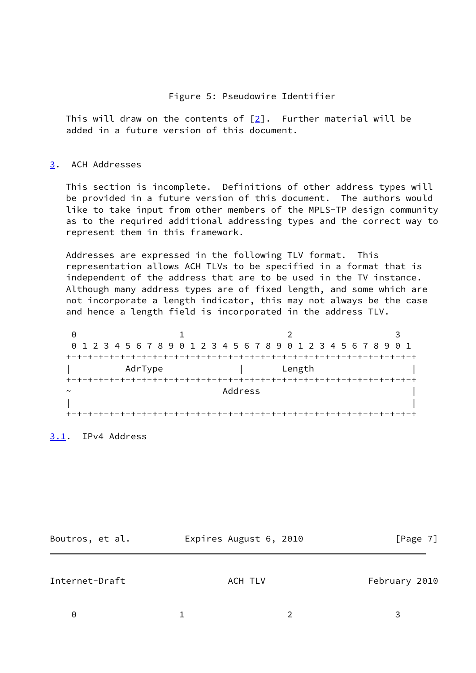### Figure 5: Pseudowire Identifier

 This will draw on the contents of [[2\]](#page-9-6). Further material will be added in a future version of this document.

## <span id="page-7-1"></span>[3](#page-7-1). ACH Addresses

 This section is incomplete. Definitions of other address types will be provided in a future version of this document. The authors would like to take input from other members of the MPLS-TP design community as to the required additional addressing types and the correct way to represent them in this framework.

 Addresses are expressed in the following TLV format. This representation allows ACH TLVs to be specified in a format that is independent of the address that are to be used in the TV instance. Although many address types are of fixed length, and some which are not incorporate a length indicator, this may not always be the case and hence a length field is incorporated in the address TLV.

0 1 2 3 0 1 2 3 4 5 6 7 8 9 0 1 2 3 4 5 6 7 8 9 0 1 2 3 4 5 6 7 8 9 0 1 +-+-+-+-+-+-+-+-+-+-+-+-+-+-+-+-+-+-+-+-+-+-+-+-+-+-+-+-+-+-+-+-+ | AdrType | Length +-+-+-+-+-+-+-+-+-+-+-+-+-+-+-+-+-+-+-+-+-+-+-+-+-+-+-+-+-+-+-+-+ ~ Address | | | +-+-+-+-+-+-+-+-+-+-+-+-+-+-+-+-+-+-+-+-+-+-+-+-+-+-+-+-+-+-+-+-+

<span id="page-7-0"></span>[3.1](#page-7-0). IPv4 Address

<span id="page-7-2"></span>Boutros, et al. Expires August 6, 2010 [Page 7] Internet-Draft **ACH TLV** ACH TLV February 2010

0 1 2 3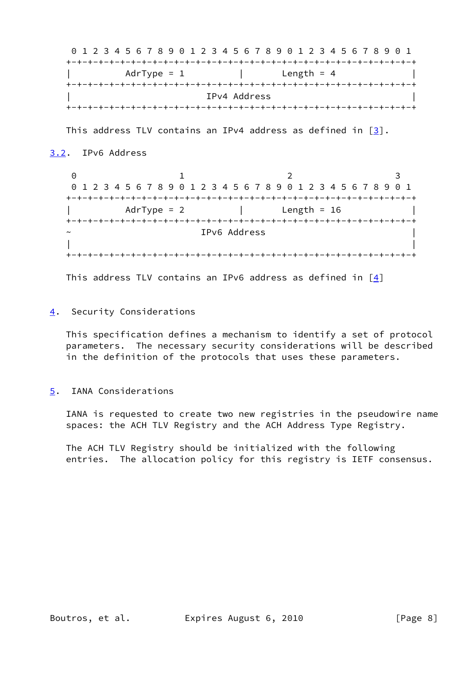0 1 2 3 4 5 6 7 8 9 0 1 2 3 4 5 6 7 8 9 0 1 2 3 4 5 6 7 8 9 0 1 +-+-+-+-+-+-+-+-+-+-+-+-+-+-+-+-+-+-+-+-+-+-+-+-+-+-+-+-+-+-+-+-+  $AdrType = 1$  | Length = 4 +-+-+-+-+-+-+-+-+-+-+-+-+-+-+-+-+-+-+-+-+-+-+-+-+-+-+-+-+-+-+-+-+ | IPv4 Address | +-+-+-+-+-+-+-+-+-+-+-+-+-+-+-+-+-+-+-+-+-+-+-+-+-+-+-+-+-+-+-+-+

This address TLV contains an IPv4 address as defined in [\[3](#page-9-7)].

## <span id="page-8-0"></span>[3.2](#page-8-0). IPv6 Address

0 1 2 3 0 1 2 3 4 5 6 7 8 9 0 1 2 3 4 5 6 7 8 9 0 1 2 3 4 5 6 7 8 9 0 1 +-+-+-+-+-+-+-+-+-+-+-+-+-+-+-+-+-+-+-+-+-+-+-+-+-+-+-+-+-+-+-+-+  $AdrType = 2$  | Length = 16 +-+-+-+-+-+-+-+-+-+-+-+-+-+-+-+-+-+-+-+-+-+-+-+-+-+-+-+-+-+-+-+-+ IPv6 Address | | +-+-+-+-+-+-+-+-+-+-+-+-+-+-+-+-+-+-+-+-+-+-+-+-+-+-+-+-+-+-+-+-+

This address TLV contains an IPv6 address as defined in  $[4]$  $[4]$ 

## <span id="page-8-1"></span>[4](#page-8-1). Security Considerations

 This specification defines a mechanism to identify a set of protocol parameters. The necessary security considerations will be described in the definition of the protocols that uses these parameters.

# <span id="page-8-2"></span>[5](#page-8-2). IANA Considerations

 IANA is requested to create two new registries in the pseudowire name spaces: the ACH TLV Registry and the ACH Address Type Registry.

 The ACH TLV Registry should be initialized with the following entries. The allocation policy for this registry is IETF consensus.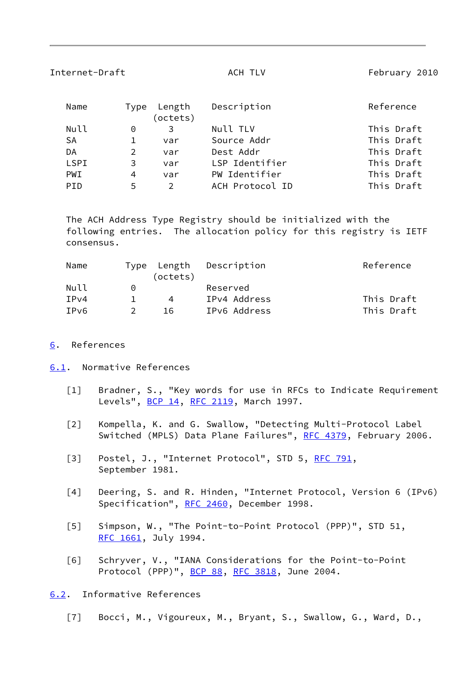<span id="page-9-2"></span>

| Internet-Draft |                |                    | ACH TLV         | February 2010 |  |  |  |  |
|----------------|----------------|--------------------|-----------------|---------------|--|--|--|--|
| Name           | Type           | Length<br>(octets) | Description     | Reference     |  |  |  |  |
| Null           | 0              | 3                  | Null TLV        | This Draft    |  |  |  |  |
| SA             | 1              | var                | Source Addr     | This Draft    |  |  |  |  |
| DA             | $\overline{2}$ | var                | Dest Addr       | This Draft    |  |  |  |  |
| LSPI           | 3              | var                | LSP Identifier  | This Draft    |  |  |  |  |
| PWI            | 4              | var                | PW Identifier   | This Draft    |  |  |  |  |
| PID            | 5              | $\mathcal{P}$      | ACH Protocol ID | This Draft    |  |  |  |  |

 The ACH Address Type Registry should be initialized with the following entries. The allocation policy for this registry is IETF consensus.

| Name                     |          | Type Length | Description  | Reference  |
|--------------------------|----------|-------------|--------------|------------|
|                          |          | (octets)    |              |            |
| Null                     | $\Omega$ |             | Reserved     |            |
| TPv4                     |          | 4           | IPv4 Address | This Draft |
| <b>TP</b> <sub>V</sub> 6 |          | 16          | IPv6 Address | This Draft |

## <span id="page-9-1"></span>[6](#page-9-1). References

## <span id="page-9-3"></span>[6.1](#page-9-3). Normative References

- <span id="page-9-0"></span> [1] Bradner, S., "Key words for use in RFCs to Indicate Requirement Levels", [BCP 14](https://datatracker.ietf.org/doc/pdf/bcp14), [RFC 2119,](https://datatracker.ietf.org/doc/pdf/rfc2119) March 1997.
- <span id="page-9-6"></span> [2] Kompella, K. and G. Swallow, "Detecting Multi-Protocol Label Switched (MPLS) Data Plane Failures", [RFC 4379,](https://datatracker.ietf.org/doc/pdf/rfc4379) February 2006.
- <span id="page-9-7"></span>[3] Postel, J., "Internet Protocol", STD 5, [RFC 791](https://datatracker.ietf.org/doc/pdf/rfc791), September 1981.
- <span id="page-9-8"></span> [4] Deering, S. and R. Hinden, "Internet Protocol, Version 6 (IPv6) Specification", [RFC 2460](https://datatracker.ietf.org/doc/pdf/rfc2460), December 1998.
- [5] Simpson, W., "The Point-to-Point Protocol (PPP)", STD 51, [RFC 1661](https://datatracker.ietf.org/doc/pdf/rfc1661), July 1994.
- [6] Schryver, V., "IANA Considerations for the Point-to-Point Protocol (PPP)", [BCP 88](https://datatracker.ietf.org/doc/pdf/bcp88), [RFC 3818,](https://datatracker.ietf.org/doc/pdf/rfc3818) June 2004.

<span id="page-9-4"></span>[6.2](#page-9-4). Informative References

<span id="page-9-5"></span>[7] Bocci, M., Vigoureux, M., Bryant, S., Swallow, G., Ward, D.,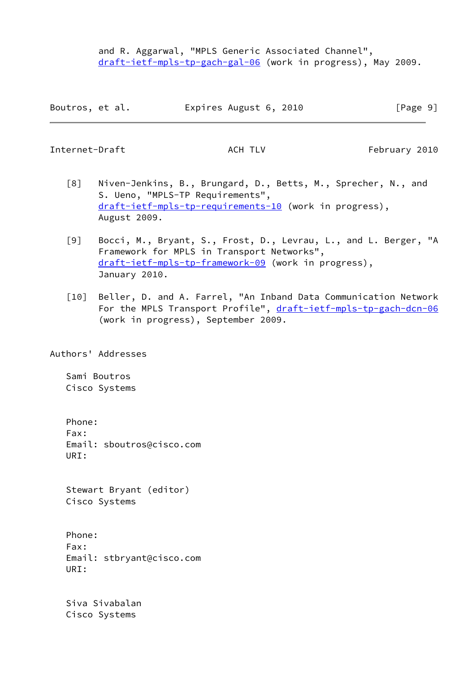and R. Aggarwal, "MPLS Generic Associated Channel", [draft-ietf-mpls-tp-gach-gal-06](https://datatracker.ietf.org/doc/pdf/draft-ietf-mpls-tp-gach-gal-06) (work in progress), May 2009.

| Boutros, et al. | Expires August 6, 2010 | [Page 9] |
|-----------------|------------------------|----------|
|-----------------|------------------------|----------|

<span id="page-10-0"></span>Internet-Draft **ACH TLV** ACH TLV February 2010

- <span id="page-10-1"></span> [8] Niven-Jenkins, B., Brungard, D., Betts, M., Sprecher, N., and S. Ueno, "MPLS-TP Requirements", [draft-ietf-mpls-tp-requirements-10](https://datatracker.ietf.org/doc/pdf/draft-ietf-mpls-tp-requirements-10) (work in progress), August 2009.
- <span id="page-10-2"></span> [9] Bocci, M., Bryant, S., Frost, D., Levrau, L., and L. Berger, "A Framework for MPLS in Transport Networks", [draft-ietf-mpls-tp-framework-09](https://datatracker.ietf.org/doc/pdf/draft-ietf-mpls-tp-framework-09) (work in progress), January 2010.
- [10] Beller, D. and A. Farrel, "An Inband Data Communication Network For the MPLS Transport Profile", [draft-ietf-mpls-tp-gach-dcn-06](https://datatracker.ietf.org/doc/pdf/draft-ietf-mpls-tp-gach-dcn-06) (work in progress), September 2009.

Authors' Addresses

 Sami Boutros Cisco Systems

 Phone: Fax: Email: sboutros@cisco.com URI:

 Stewart Bryant (editor) Cisco Systems

 Phone: Fax: Email: stbryant@cisco.com URI:

 Siva Sivabalan Cisco Systems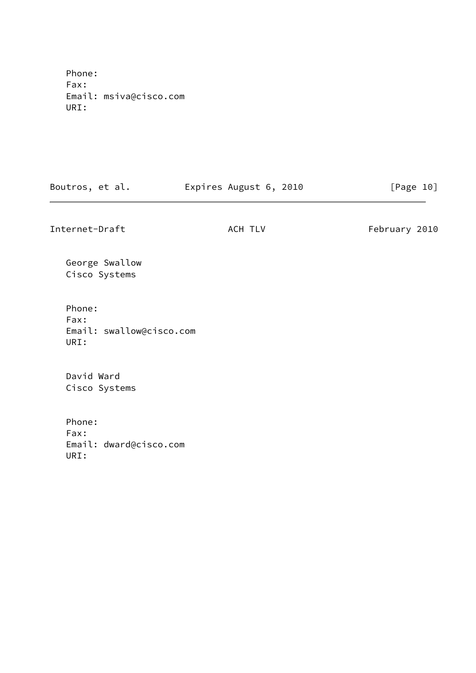Phone: Fax: Email: msiva@cisco.com URI:

Boutros, et al. **Expires August 6, 2010** [Page 10]

Internet-Draft **ACH TLV** ACH TLV February 2010

 George Swallow Cisco Systems

 Phone: Fax: Email: swallow@cisco.com URI:

 David Ward Cisco Systems

 Phone: Fax: Email: dward@cisco.com URI: